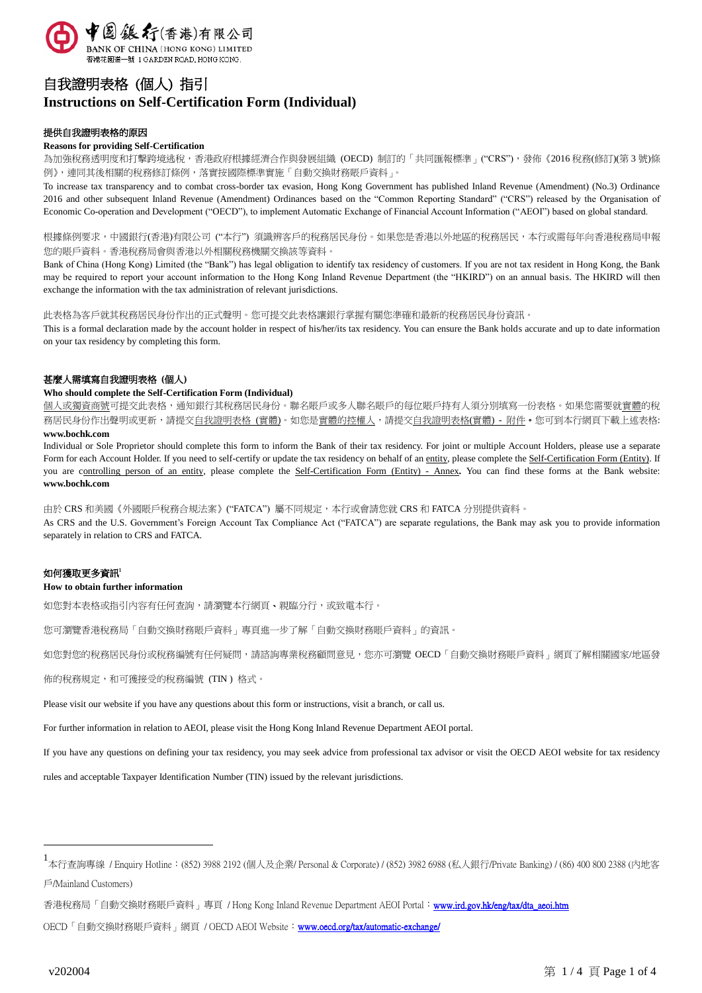

# 自我證明表格 (個人) 指引 **Instructions on Self-Certification Form (Individual)**

## 提供自我證明表格的原因

#### **Reasons for providing Self-Certification**

為加強稅務透明度和打擊跨境逃稅,香港政府根據經濟合作與發展組織 (OECD) 制訂的「共同匯報標準」("CRS"),發佈《2016稅務(修訂)(第3號)條 例》,連同其後相關的稅務修訂條例,落實按國際標準實施「自動交換財務賬戶資料」。

To increase tax transparency and to combat cross-border tax evasion, Hong Kong Government has published Inland Revenue (Amendment) (No.3) Ordinance 2016 and other subsequent Inland Revenue (Amendment) Ordinances based on the "Common Reporting Standard" ("CRS") released by the Organisation of Economic Co-operation and Development ("OECD"), to implement Automatic Exchange of Financial Account Information ("AEOI") based on global standard.

根據條例要求,中國銀行(香港)有限公司 ("本行") 須識辨客戶的稅務居民身份。如果您是香港以外地區的稅務居民,本行或需每年向香港稅務局申報 您的賬戶資料。香港稅務局會與香港以外相關稅務機關交換該等資料。

Bank of China (Hong Kong) Limited (the "Bank") has legal obligation to identify tax residency of customers. If you are not tax resident in Hong Kong, the Bank may be required to report your account information to the Hong Kong Inland Revenue Department (the "HKIRD") on an annual basis. The HKIRD will then exchange the information with the tax administration of relevant jurisdictions.

此表格為客戶就其稅務居民身份作出的正式聲明。您可提交此表格讓銀行掌握有關您準確和最新的稅務居民身份資訊。

This is a formal declaration made by the account holder in respect of his/her/its tax residency. You can ensure the Bank holds accurate and up to date information on your tax residency by completing this form.

## 甚麼人需填寫自我證明表格 **(**個人**)**

#### **Who should complete the Self-Certification Form (Individual)**

個人或獨資商號可提交此表格,通知銀行其稅務居民身份。聯名賬戶或多人聯名賬戶的每位賬戶持有人須分別填寫一份表格。如果您需要就<u>實體</u>的稅 務居民身份作出聲明或更新,請提交自我證明表格 (實體)。如您是實體的控權人,請提交自我證明表格(實體) - 附件。您可到本行網頁下載上述表格: **www.bochk.com**

Individual or Sole Proprietor should complete this form to inform the Bank of their tax residency. For joint or multiple Account Holders, please use a separate Form for each Account Holder. If you need to self-certify or update the tax residency on behalf of an entity, please complete the Self-Certification Form (Entity). If you are controlling person of an entity, please complete the Self-Certification Form (Entity) - Annex. You can find these forms at the Bank website: **www.bochk.com**

由於 CRS 和美國《外國賬戶稅務合規法案》("FATCA") 屬不同規定,本行或會請您就 CRS 和 FATCA 分別提供資料。 As CRS and the U.S. Government's Foreign Account Tax Compliance Act ("FATCA") are separate regulations, the Bank may ask you to provide information separately in relation to CRS and FATCA.

## 如何獲取更多資訊<sup>1</sup>

#### **How to obtain further information**

如您對本表格或指引內容有任何查詢,請瀏覽本行網頁、親臨分行,或致電本行。

您可瀏覽香港稅務局「自動交換財務賬戶資料」專頁進一步了解「自動交換財務賬戶資料」的資訊。

如您對您的稅務居民身份或稅務編號有任何疑問,請諮詢專業稅務顧問意見,您亦可瀏覽 OECD「自動交換財務賬戶資料」網頁了解相關國家/地區發

佈的稅務規定,和可獲接受的稅務編號 (TIN ) 格式。

Please visit our website if you have any questions about this form or instructions, visit a branch, or call us.

For further information in relation to AEOI, please visit the Hong Kong Inland Revenue Department AEOI portal.

If you have any questions on defining your tax residency, you may seek advice from professional tax advisor or visit the OECD AEOI website for tax residency

rules and acceptable Taxpayer Identification Number (TIN) issued by the relevant jurisdictions.

香港稅務局「自動交換財務賬戶資料」專頁 / Hong Kong Inland Revenue Department AEOI Portal: www.ird.gov.hk/eng/tax/dta\_aeoi.htm

 $\overline{a}$ 

<sup>1&</sup>lt;br>本行杳詢專線 / Enquiry Hotline:(852) 3988 2192 (個人及企業/ Personal & Corporate) / (852) 3982 6988 (私人銀行/Private Banking) / (86) 400 800 2388 (内地客 戶/Mainland Customers)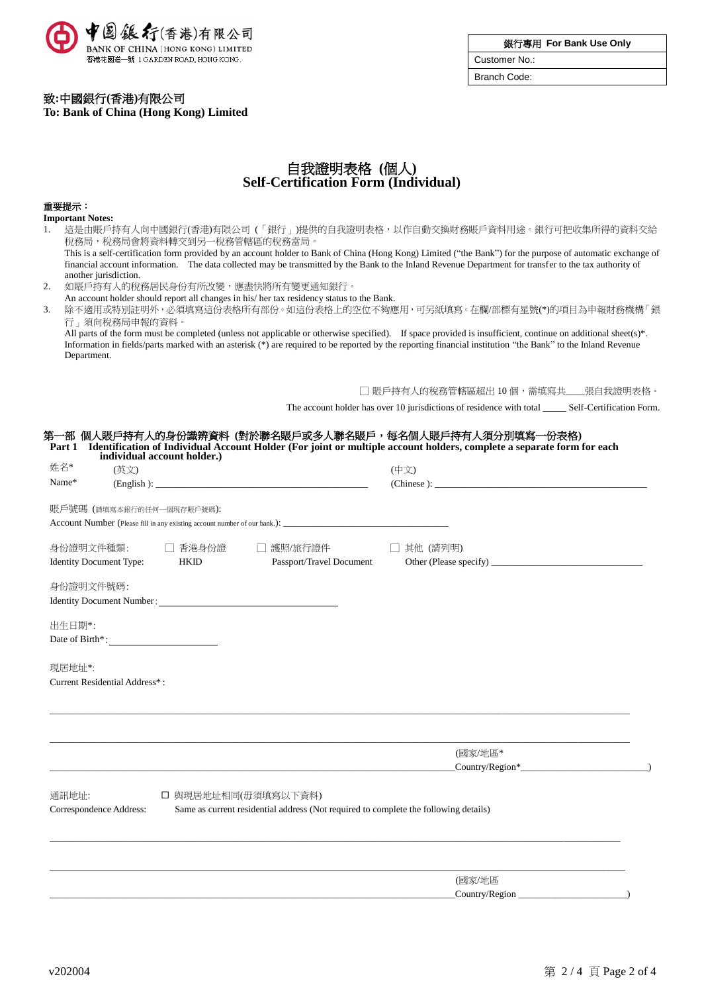

銀行專用 **For Bank Use Only**

Customer No.: Branch Code:

致**:**中國銀行**(**香港**)**有限公司

**To: Bank of China (Hong Kong) Limited**

## 自我證明表格 **(**個人**) Self-Certification Form (Individual)**

## 重要提示:

| <b>Important Notes:</b>        |                                 |                                                                                           |                                                                                                                                                              |  |  |
|--------------------------------|---------------------------------|-------------------------------------------------------------------------------------------|--------------------------------------------------------------------------------------------------------------------------------------------------------------|--|--|
| 1.                             | 稅務局,稅務局會將資料轉交到另一稅務管轄區的稅務當局。     |                                                                                           | 這是由賬戶持有人向中國銀行(香港)有限公司 (「銀行」)提供的自我證明表格,以作自動交換財務賬戶資料用途。銀行可把收集所得的資料交給                                                                                           |  |  |
|                                |                                 |                                                                                           | This is a self-certification form provided by an account holder to Bank of China (Hong Kong) Limited ("the Bank") for the purpose of automatic exchange of   |  |  |
|                                |                                 |                                                                                           | financial account information. The data collected may be transmitted by the Bank to the Inland Revenue Department for transfer to the tax authority of       |  |  |
| another jurisdiction.          |                                 |                                                                                           |                                                                                                                                                              |  |  |
| 2.                             | 如賬戶持有人的稅務居民身份有所改變,應盡快將所有變更通知銀行。 |                                                                                           |                                                                                                                                                              |  |  |
| 3.                             |                                 | An account holder should report all changes in his/ her tax residency status to the Bank. |                                                                                                                                                              |  |  |
|                                | 行」須向稅務局申報的資料。                   | 除不適用或特別註明外,必須填寫這份表格所有部份。如這份表格上的空位不夠應用,可另紙填寫。在欄/部標有星號(*)的項目為申報財務機構「銀                       |                                                                                                                                                              |  |  |
|                                |                                 |                                                                                           | All parts of the form must be completed (unless not applicable or otherwise specified). If space provided is insufficient, continue on additional sheet(s)*. |  |  |
|                                |                                 |                                                                                           | Information in fields/parts marked with an asterisk (*) are required to be reported by the reporting financial institution "the Bank" to the Inland Revenue  |  |  |
| Department.                    |                                 |                                                                                           |                                                                                                                                                              |  |  |
|                                |                                 |                                                                                           |                                                                                                                                                              |  |  |
|                                |                                 |                                                                                           | □ 賬戶持有人的稅務管轄區超出 10 個,需填寫共__張自我證明表格。                                                                                                                          |  |  |
|                                |                                 |                                                                                           |                                                                                                                                                              |  |  |
|                                |                                 |                                                                                           |                                                                                                                                                              |  |  |
|                                |                                 |                                                                                           | 第一部 個人賬戶持有人的身份識辨資料 (對於聯名賬戶或多人聯名賬戶,每名個人賬戶持有人須分別填寫一份表格)                                                                                                        |  |  |
|                                | individual account holder.)     |                                                                                           | Part 1 Identification of Individual Account Holder (For joint or multiple account holders, complete a separate form for each                                 |  |  |
| 姓名*                            | (英文)                            |                                                                                           | (中文)                                                                                                                                                         |  |  |
| Name*                          |                                 |                                                                                           |                                                                                                                                                              |  |  |
|                                |                                 |                                                                                           |                                                                                                                                                              |  |  |
|                                | 賬戶號碼 (請填寫本銀行的任何一個現存賬戶號碼):       |                                                                                           |                                                                                                                                                              |  |  |
|                                |                                 |                                                                                           |                                                                                                                                                              |  |  |
|                                |                                 |                                                                                           |                                                                                                                                                              |  |  |
| 身份證明文件種類:                      | □ 香港身份證                         | □ 護照/旅行證件                                                                                 | □ 其他 (請列明)                                                                                                                                                   |  |  |
| <b>Identity Document Type:</b> | <b>HKID</b>                     | Passport/Travel Document                                                                  |                                                                                                                                                              |  |  |
|                                |                                 |                                                                                           |                                                                                                                                                              |  |  |
| 身份證明文件號碼:                      |                                 |                                                                                           |                                                                                                                                                              |  |  |
|                                | Identity Document Number:       |                                                                                           |                                                                                                                                                              |  |  |
| 出生日期*:                         |                                 |                                                                                           |                                                                                                                                                              |  |  |
|                                | Date of Birth*:                 |                                                                                           |                                                                                                                                                              |  |  |
|                                |                                 |                                                                                           |                                                                                                                                                              |  |  |
| 現居地址*:                         |                                 |                                                                                           |                                                                                                                                                              |  |  |
| Current Residential Address*:  |                                 |                                                                                           |                                                                                                                                                              |  |  |
|                                |                                 |                                                                                           |                                                                                                                                                              |  |  |
|                                |                                 |                                                                                           |                                                                                                                                                              |  |  |
|                                |                                 |                                                                                           |                                                                                                                                                              |  |  |
|                                |                                 |                                                                                           |                                                                                                                                                              |  |  |
|                                |                                 |                                                                                           | (國家/地區*                                                                                                                                                      |  |  |
|                                |                                 |                                                                                           | Country/Region*                                                                                                                                              |  |  |
|                                |                                 |                                                                                           |                                                                                                                                                              |  |  |
| 通訊地址:                          |                                 | □ 與現居地址相同(毋須填寫以下資料)                                                                       |                                                                                                                                                              |  |  |
| Correspondence Address:        |                                 | Same as current residential address (Not required to complete the following details)      |                                                                                                                                                              |  |  |
|                                |                                 |                                                                                           |                                                                                                                                                              |  |  |
|                                |                                 |                                                                                           |                                                                                                                                                              |  |  |
|                                |                                 |                                                                                           |                                                                                                                                                              |  |  |
|                                |                                 |                                                                                           |                                                                                                                                                              |  |  |
|                                |                                 |                                                                                           | (國家/地區                                                                                                                                                       |  |  |
|                                |                                 |                                                                                           | Country/Region                                                                                                                                               |  |  |
|                                |                                 |                                                                                           |                                                                                                                                                              |  |  |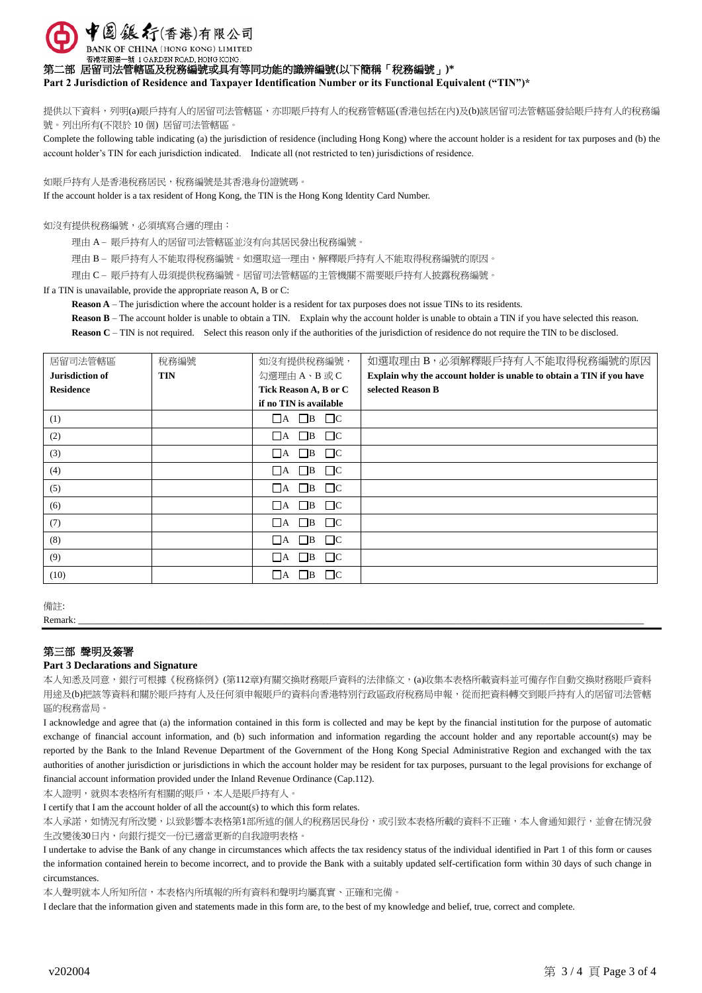中国銀行(香港)有限公司

BANK OF CHINA (HONG KONG) LIMITED 香港花園道一號 1 GARDEN ROAD, HONG KONG

第二部 居留司法管轄區及稅務編號或具有等同功能的識辨編號**(**以下簡稱「稅務編號」**)\***

**Part 2 Jurisdiction of Residence and Taxpayer Identification Number or its Functional Equivalent ("TIN")\***

提供以下資料,列明(a)賬戶持有人的居留司法管轄區,亦即賬戶持有人的稅務管轄區(香港包括在內)及(b)該居留司法管轄區發給賬戶持有人的稅務編 號。列出所有(不限於 10 個) 居留司法管轄區。

Complete the following table indicating (a) the jurisdiction of residence (including Hong Kong) where the account holder is a resident for tax purposes and (b) the account holder's TIN for each jurisdiction indicated. Indicate all (not restricted to ten) jurisdictions of residence.

如賬戶持有人是香港稅務居民,稅務編號是其香港身份證號碼。

If the account holder is a tax resident of Hong Kong, the TIN is the Hong Kong Identity Card Number.

如沒有提供稅務編號,必須填寫合適的理由:

理由 A – 賬戶持有人的居留司法管轄區並沒有向其居民發出稅務編號。

理由 B – 賬戶持有人不能取得稅務編號。如選取這一理由,解釋賬戶持有人不能取得稅務編號的原因。

理由 C – 賬戶持有人毋須提供稅務編號。居留司法管轄區的主管機關不需要賬戶持有人披露稅務編號。

If a TIN is unavailable, provide the appropriate reason A, B or C:

**Reason A** – The jurisdiction where the account holder is a resident for tax purposes does not issue TINs to its residents.

**Reason B** – The account holder is unable to obtain a TIN. Explain why the account holder is unable to obtain a TIN if you have selected this reason.

**Reason C** – TIN is not required. Select this reason only if the authorities of the jurisdiction of residence do not require the TIN to be disclosed.

| 居留司法管轄區          | 稅務編號       | 如沒有提供稅務編號,                       | 如選取理由 B, 必須解釋賬戶持有人不能取得稅務編號的原因                                        |
|------------------|------------|----------------------------------|----------------------------------------------------------------------|
| Jurisdiction of  | <b>TIN</b> | 勾選理由A、B或C                        | Explain why the account holder is unable to obtain a TIN if you have |
| <b>Residence</b> |            | Tick Reason A, B or C            | selected Reason B                                                    |
|                  |            | if no TIN is available           |                                                                      |
| (1)              |            | $\Box A$ $\Box B$ $\Box C$       |                                                                      |
| (2)              |            | $\Box$ A $\Box$ B<br>$\Box$ C    |                                                                      |
| (3)              |            | $\Box$ C<br>$\Box$ B<br>$\Box$ A |                                                                      |
| (4)              |            | $\Box A$ $\Box B$ $\Box C$       |                                                                      |
| (5)              |            | $\Box$ B $\Box$ C<br>ΠA.         |                                                                      |
| (6)              |            | $\Box A$ $\Box B$ $\Box C$       |                                                                      |
| (7)              |            | $\Box$ C<br>$\Box A$ $\Box B$    |                                                                      |
| (8)              |            | $\Box$ B<br>$\Box$ C<br>∣ A      |                                                                      |
| (9)              |            | $\Box$ B<br>$\Box$ C<br>ПA.      |                                                                      |
| (10)             |            | $\Box$<br>$\Box$ B<br>ΙA         |                                                                      |

備註:

Remark: \_\_\_\_\_\_\_\_\_\_\_\_\_\_\_\_\_\_\_\_\_\_\_\_\_\_\_\_\_\_\_\_\_\_\_\_\_\_\_\_\_\_\_\_\_\_\_\_\_\_\_\_\_\_\_\_\_\_\_\_\_\_\_\_\_\_\_\_\_\_\_\_\_\_\_\_\_\_\_\_\_\_\_\_\_\_\_\_\_\_\_\_\_\_\_\_\_\_\_\_\_\_\_\_\_\_\_\_\_\_\_\_\_\_\_\_\_\_\_\_

## 第三部 聲明及簽署

## **Part 3 Declarations and Signature**

本人知悉及同意,銀行可根據《稅務條例》(第112章)有關交換財務賬戶資料的法律條文,(a)收集本表格所載資料並可備存作自動交換財務賬戶資料 用途及(b)把該等資料和關於賬戶持有人及任何須申報賬戶的資料向香港特別行政區政府稅務局申報,從而把資料轉交到賬戶持有人的居留司法管轄 區的稅務當局。

I acknowledge and agree that (a) the information contained in this form is collected and may be kept by the financial institution for the purpose of automatic exchange of financial account information, and (b) such information and information regarding the account holder and any reportable account(s) may be reported by the Bank to the Inland Revenue Department of the Government of the Hong Kong Special Administrative Region and exchanged with the tax authorities of another jurisdiction or jurisdictions in which the account holder may be resident for tax purposes, pursuant to the legal provisions for exchange of financial account information provided under the Inland Revenue Ordinance (Cap.112).

本人證明,就與本表格所有相關的賬戶,本人是賬戶持有人。

I certify that I am the account holder of all the account(s) to which this form relates.

本人承諾,如情況有所改變,以致影響本表格第1部所述的個人的稅務居民身份,或引致本表格所載的資料不正確,本人會通知銀行,並會在情況發 生改變後30日內,向銀行提交一份已適當更新的自我證明表格。

I undertake to advise the Bank of any change in circumstances which affects the tax residency status of the individual identified in Part 1 of this form or causes the information contained herein to become incorrect, and to provide the Bank with a suitably updated self-certification form within 30 days of such change in circumstances.

本人聲明就本人所知所信,本表格內所填報的所有資料和聲明均屬真實、正確和完備。

I declare that the information given and statements made in this form are, to the best of my knowledge and belief, true, correct and complete.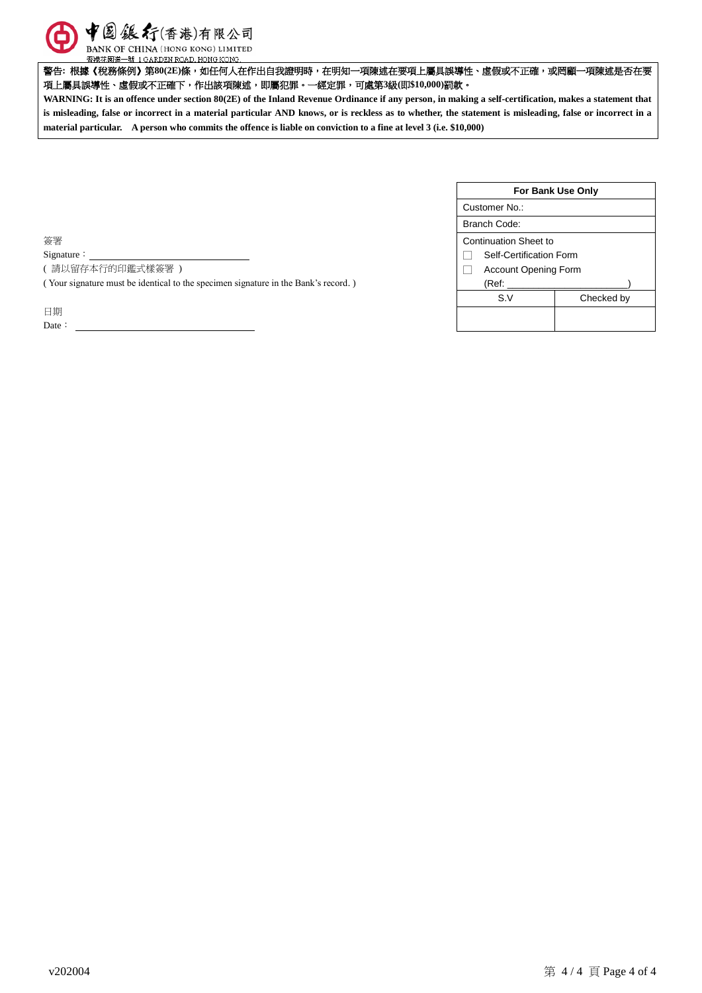

香港花園道一號 1 GARDEN ROAD, HONG KONG.

警告**:** 根據《稅務條例》第**80(2E)**條,如任何人在作出自我證明時,在明知一項陳述在要項上屬具誤導性、虛假或不正確,或罔顧一項陳述是否在要 項上屬具誤導性、虛假或不正確下,作出該項陳述,即屬犯罪。一經定罪,可處第**3**級**(**即**\$10,000)**罰款。

**WARNING: It is an offence under section 80(2E) of the Inland Revenue Ordinance if any person, in making a self-certification, makes a statement that is misleading, false or incorrect in a material particular AND knows, or is reckless as to whether, the statement is misleading, false or incorrect in a material particular. A person who commits the offence is liable on conviction to a fine at level 3 (i.e. \$10,000)**

| Customer No.:               |            |  |
|-----------------------------|------------|--|
|                             |            |  |
| Branch Code:                |            |  |
| Continuation Sheet to       |            |  |
| Self-Certification Form     |            |  |
| <b>Account Opening Form</b> |            |  |
| (Ref:                       |            |  |
| S.V                         | Checked by |  |

簽署

Signature :

( 請以留存本行的印鑑式樣簽署 )

( Your signature must be identical to the specimen signature in the Bank's record. )

日期

Date: